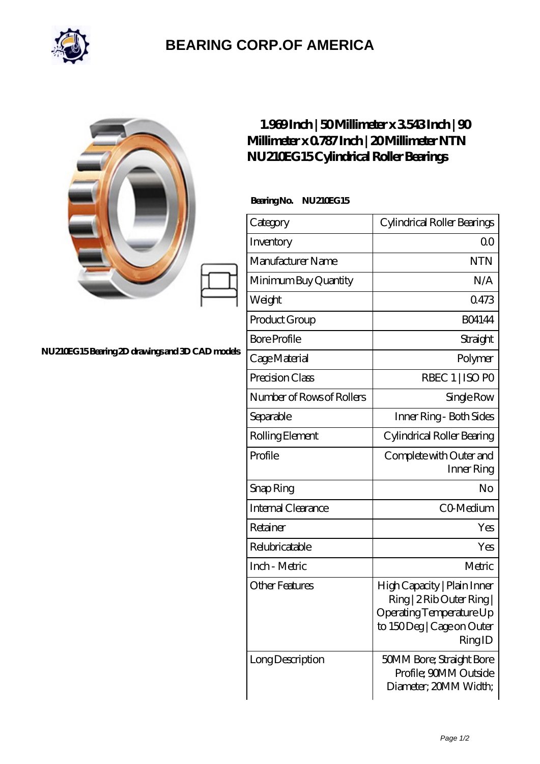

## **[BEARING CORP.OF AMERICA](https://m.bluemondayreview.com)**

|                                                | $1.969$ Inch   50Millimeter x 3543Inch   90<br>Millimeter x 0787 Inch   20 Millimeter NTN<br>NU210EG15Cylindrical Roller Bearings |                                                                                                                             |
|------------------------------------------------|-----------------------------------------------------------------------------------------------------------------------------------|-----------------------------------------------------------------------------------------------------------------------------|
|                                                | BearingNo.<br><b>NU210EG15</b>                                                                                                    |                                                                                                                             |
|                                                | Category                                                                                                                          | Cylindrical Roller Bearings                                                                                                 |
|                                                | Inventory                                                                                                                         | 0 <sup>0</sup>                                                                                                              |
|                                                | Manufacturer Name                                                                                                                 | <b>NTN</b>                                                                                                                  |
|                                                | Minimum Buy Quantity                                                                                                              | N/A                                                                                                                         |
|                                                | Weight                                                                                                                            | 0473                                                                                                                        |
|                                                | Product Group                                                                                                                     | <b>BO4144</b>                                                                                                               |
|                                                | <b>Bore Profile</b>                                                                                                               | Straight                                                                                                                    |
| NU210EG15Bearing 2D drawings and 3D CAD models | Cage Material                                                                                                                     | Polymer                                                                                                                     |
|                                                | Precision Class                                                                                                                   | RBEC 1   ISO PO                                                                                                             |
|                                                | Number of Rows of Rollers                                                                                                         | Single Row                                                                                                                  |
|                                                | Separable                                                                                                                         | Inner Ring - Both Sides                                                                                                     |
|                                                | Rolling Element                                                                                                                   | Cylindrical Roller Bearing                                                                                                  |
|                                                | Profile                                                                                                                           | Complete with Outer and<br>Inner Ring                                                                                       |
|                                                | Snap Ring                                                                                                                         | No                                                                                                                          |
|                                                | Internal Clearance                                                                                                                | CO-Medium                                                                                                                   |
|                                                | Retainer                                                                                                                          | Yes                                                                                                                         |
|                                                | Relubricatable                                                                                                                    | Yes                                                                                                                         |
|                                                | Inch - Metric                                                                                                                     | Metric                                                                                                                      |
|                                                | <b>Other Features</b>                                                                                                             | High Capacity   Plain Inner<br>Ring   2 Rib Outer Ring  <br>Operating Temperature Up<br>to 150Deg   Cage on Outer<br>RingID |
|                                                | Long Description                                                                                                                  | 50MM Bore; Straight Bore<br>Profile; 90MM Outside<br>Diameter; 20MM Width;                                                  |